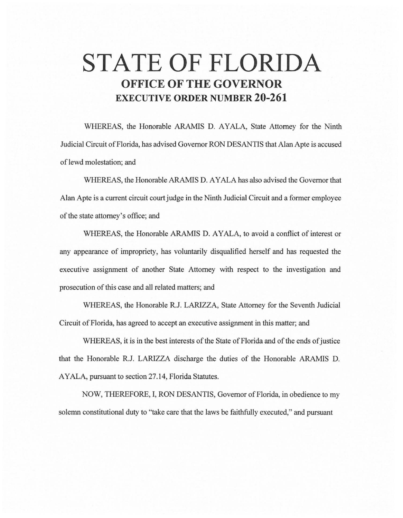# **STATE OF FLORIDA OFFICE OF THE GOVERNOR EXECUTIVE ORDER NUMBER 20-261**

WHEREAS, the Honorable ARAMIS D. AYALA, State Attorney for the Ninth Judicial Circuit of Florida, has advised Governor RON DESANTIS that Alan Apte is accused of lewd molestation; and

WHEREAS, the Honorable ARAMIS D. AYALA has also advised the Governor that Alan Apte is a current circuit court judge in the Ninth Judicial Circuit and a former employee of the state attorney's office; and

WHEREAS, the Honorable ARAMIS D. AYALA, to avoid a conflict of interest or any appearance of impropriety, has voluntarily disqualified herself and has requested the executive assignment of another State Attorney with respect to the investigation and prosecution of this case and all related matters; and

WHEREAS, the Honorable R.J. LARIZZA, State Attorney for the Seventh Judicial Circuit of Florida, has agreed to accept an executive assignment in this matter; and

WHEREAS, it is in the best interests of the State of Florida and of the ends of justice that the Honorable R.J. LARIZZA discharge the duties of the Honorable ARAMIS D. AYALA, pursuant to section 27 .14, Florida Statutes.

NOW, THEREFORE, I, RON DESANTIS, Governor of Florida, in obedience to my solemn constitutional duty to "take care that the laws be faithfully executed," and pursuant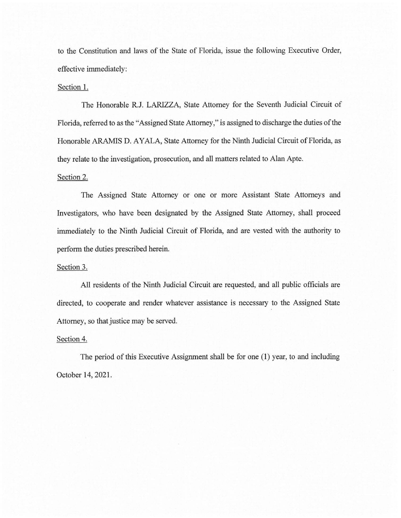to the Constitution and laws of the State of Florida, issue the following Executive Order, effective immediately:

#### Section 1.

The Honorable R.J. LARIZZA, State Attorney for the Seventh Judicial Circuit of Florida, referred to as the "Assigned State Attorney," is assigned to discharge the duties of the Honorable ARAMIS D. AYALA, State Attorney for the Ninth Judicial Circuit of Florida, as they relate to the investigation, prosecution, and all matters related to Alan Apte.

## Section 2.

The Assigned State Attorney or one or more Assistant State Attorneys and Investigators, who have been designated by the Assigned State Attorney, shall proceed immediately to the Ninth Judicial Circuit of Florida, and are vested with the authority to perform the duties prescribed herein.

### Section 3.

All residents of the Ninth Judicial Circuit are requested, and all public officials are directed, to cooperate and render whatever assistance is necessary to the Assigned State Attorney, so that justice may be served.

#### Section 4.

The period of this Executive Assignment shall be for one (1) year, to and including October 14, 2021.